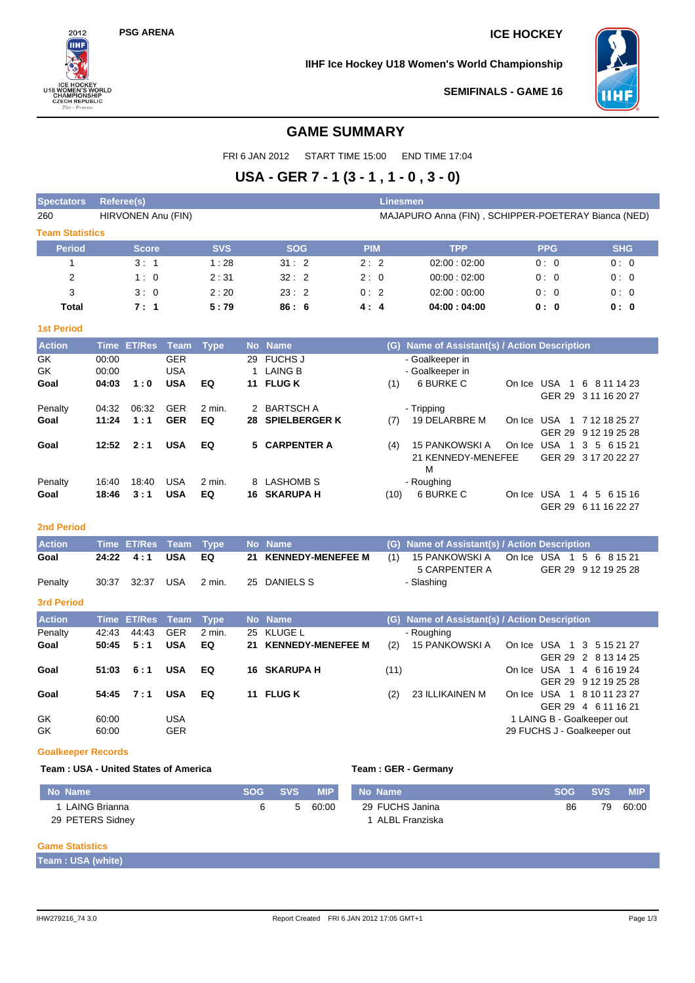# **PSG ARENA ICE HOCKEY**

# **IIHF Ice Hockey U18 Women's World Championship**





**SEMIFINALS - GAME 16**

# **GAME SUMMARY**

FRI 6 JAN 2012 START TIME 15:00 END TIME 17:04

# **USA - GER 7 - 1 (3 - 1 , 1 - 0 , 3 - 0)**

| <b>Spectators</b>      | <b>Referee(s)</b>       |                    |                                        |                |               |                                              |                      | <b>Linesmen</b> |                                                     |                                                  |        |                        |                                             |  |  |  |
|------------------------|-------------------------|--------------------|----------------------------------------|----------------|---------------|----------------------------------------------|----------------------|-----------------|-----------------------------------------------------|--------------------------------------------------|--------|------------------------|---------------------------------------------|--|--|--|
| 260                    |                         | HIRVONEN Anu (FIN) |                                        |                |               |                                              |                      |                 | MAJAPURO Anna (FIN), SCHIPPER-POETERAY Bianca (NED) |                                                  |        |                        |                                             |  |  |  |
| <b>Team Statistics</b> |                         |                    |                                        |                |               |                                              |                      |                 |                                                     |                                                  |        |                        |                                             |  |  |  |
| <b>Period</b>          |                         | <b>Score</b>       |                                        | <b>SVS</b>     |               | <b>SOG</b>                                   |                      | <b>PIM</b>      |                                                     | <b>TPP</b>                                       |        | <b>PPG</b>             | <b>SHG</b>                                  |  |  |  |
| 1                      |                         | 3:1                |                                        | 1:28           |               | 31:2                                         |                      | 2:2             |                                                     | 02:00:02:00                                      |        | 0:0                    | 0:0                                         |  |  |  |
| 2                      |                         | 1:0                |                                        | 2:31           |               | 32:2                                         |                      | 2:0             |                                                     | 00:00:02:00                                      |        | 0:0                    | 0:0                                         |  |  |  |
| 3                      |                         | 3:0                |                                        | 2:20           |               | 23:2                                         |                      | 0:2             |                                                     | 02:00:00:00                                      |        | 0:0                    | 0:0                                         |  |  |  |
| Total                  |                         | 7:1                |                                        | 5:79           |               | 86:6                                         |                      | 4:4             |                                                     | 04:00:04:00                                      |        | 0: 0                   | 0: 0                                        |  |  |  |
| <b>1st Period</b>      |                         |                    |                                        |                |               |                                              |                      |                 |                                                     |                                                  |        |                        |                                             |  |  |  |
| <b>Action</b>          | <b>Time</b>             | <b>ET/Res</b>      | <b>Team</b>                            | <b>Type</b>    |               | No Name                                      |                      |                 | (G)                                                 | Name of Assistant(s) / Action Description        |        |                        |                                             |  |  |  |
| GK<br>GK<br>Goal       | 00:00<br>00:00<br>04:03 | 1:0                | <b>GER</b><br><b>USA</b><br><b>USA</b> | EQ             | 11            | 29 FUCHS J<br><b>LAING B</b><br><b>FLUGK</b> |                      |                 | (1)                                                 | - Goalkeeper in<br>- Goalkeeper in<br>6 BURKE C  |        | On Ice USA 1           | 6 8 11 14 23<br>GER 29 3 11 16 20 27        |  |  |  |
| Penalty                | 04:32                   | 06:32              | <b>GER</b>                             | $2$ min.       | $\mathcal{P}$ | <b>BARTSCH A</b>                             |                      |                 |                                                     | - Tripping                                       |        |                        |                                             |  |  |  |
| Goal                   | 11:24                   | 1:1                | <b>GER</b>                             | EQ             | 28            |                                              | <b>SPIELBERGER K</b> |                 | (7)                                                 | 19 DELARBRE M                                    |        | <b>GER 29</b>          | On Ice USA 1 7 12 18 25 27<br>9 12 19 25 28 |  |  |  |
| Goal                   | 12:52                   | 2:1                | <b>USA</b>                             | EQ             |               | 5 CARPENTER A                                |                      |                 | (4)                                                 | <b>15 PANKOWSKI A</b><br>21 KENNEDY-MENEFEE<br>M | On Ice | USA 1                  | 3<br>5 6 15 21<br>GER 29 3 17 20 22 27      |  |  |  |
| Penalty<br>Goal        | 16:40<br>18:46          | 18:40<br>3:1       | <b>USA</b><br><b>USA</b>               | $2$ min.<br>EQ | 8<br>16       | <b>LASHOMB S</b><br><b>SKARUPA H</b>         |                      |                 | (10)                                                | - Roughing<br>6 BURKE C                          | On Ice | USA 1<br><b>GER 29</b> | 4 5 6 15 16<br>6 11 16 22 27                |  |  |  |
| <b>2nd Period</b>      |                         |                    |                                        |                |               |                                              |                      |                 |                                                     |                                                  |        |                        |                                             |  |  |  |

| <b>Action</b> | Time ET/Res Team Type |     |        | No Name              |     | (G) Name of Assistant(s) / Action Description |                                        |
|---------------|-----------------------|-----|--------|----------------------|-----|-----------------------------------------------|----------------------------------------|
| Goal          | $24:22 \quad 4:1$     | USA | EQ     | 21 KENNEDY-MENEFEE M | (1) |                                               | 15 PANKOWSKIA On Ice USA 1 5 6 8 15 21 |
|               |                       |     |        |                      |     | 5 CARPENTER A                                 | GER 29 9 12 19 25 28                   |
| Penalty       |                       |     | 2 min. | 25 DANIELS S         |     | - Slashing                                    |                                        |

#### **3rd Period**

| <b>Action</b> |                | Time ET/Res Team Type |                          |        | No Name              |      | (G) Name of Assistant(s) / Action Description |                                                           |
|---------------|----------------|-----------------------|--------------------------|--------|----------------------|------|-----------------------------------------------|-----------------------------------------------------------|
| Penalty       | 42:43          | 44.43                 | <b>GER</b>               | 2 min. | 25 KLUGE L           |      | - Roughing                                    |                                                           |
| Goal          |                | $50:45$ $5:1$         | <b>USA</b>               | EQ     | 21 KENNEDY-MENEFEE M | (2)  | 15 PANKOWSKI A                                | On Ice USA 1 3 5 15 21 27<br>GER 29 2 8 13 14 25          |
| Goal          | 51:03          | 6:1                   | <b>USA</b>               | EQ.    | <b>16 SKARUPA H</b>  | (11) |                                               | USA 1 4 6 16 19 24<br>On Ice<br>GER 29 9 12 19 25 28      |
| Goal          | 54:45          | 7:1                   | <b>USA</b>               | EQ     | 11 FLUG K            | (2)  | 23 ILLIKAINEN M                               | On Ice USA 1 8 10 11 23 27<br>GER 29 4 6 11 16 21         |
| GK<br>GK      | 60:00<br>60:00 |                       | <b>USA</b><br><b>GER</b> |        |                      |      |                                               | 1 LAING B - Goalkeeper out<br>29 FUCHS J - Goalkeeper out |

#### **Goalkeeper Records**

#### Team : USA - United States of America **Team : GER - Germany**

| No Name          | SOG SVS |   | <b>MIP</b> | No Name         | <b>SOG</b> | <b>SVS</b> | <b>MIP</b> |
|------------------|---------|---|------------|-----------------|------------|------------|------------|
| LAING Brianna    |         | 5 | 60:00      | 29 FUCHS Janina | 86         | 79         | 60:00      |
| 29 PETERS Sidney |         |   |            | ALBL Franziska  |            |            |            |

### **Game Statistics**

**Team : USA (white)**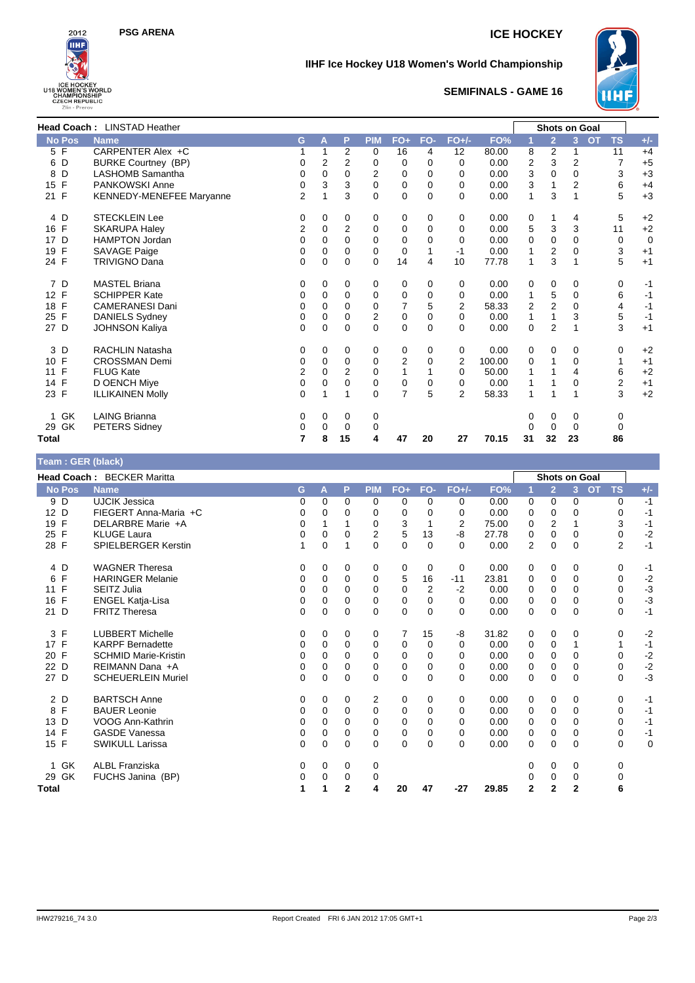



# **IIHF Ice Hockey U18 Women's World Championship**



# **SEMIFINALS - GAME 16**

|                    | <b>Head Coach: LINSTAD Heather</b><br><b>Shots on Goal</b> |                |                |                |             |                |          |                |        |                |                |                |                             |             |
|--------------------|------------------------------------------------------------|----------------|----------------|----------------|-------------|----------------|----------|----------------|--------|----------------|----------------|----------------|-----------------------------|-------------|
| <b>No Pos</b>      | <b>Name</b>                                                | G              | A              | P              | <b>PIM</b>  | $FO+$          | FO-      | <b>FO+/-</b>   | FO%    |                | $\overline{2}$ | 3              | <b>TS</b><br>O <sub>T</sub> | $+/-$       |
| 5 F                | CARPENTER Alex +C                                          |                |                | 2              | 0           | 16             | 4        | 12             | 80.00  | 8              | 2              |                | 11                          | $+4$        |
| D<br>6             | <b>BURKE Courtney (BP)</b>                                 | 0              | $\overline{2}$ | 2              | 0           | 0              | 0        | 0              | 0.00   | 2              | 3              | $\overline{2}$ | $\overline{7}$              | $+5$        |
| D<br>8             | <b>LASHOMB Samantha</b>                                    | 0              | $\mathbf 0$    | 0              | 2           | $\mathbf 0$    | 0        | 0              | 0.00   | 3              | $\Omega$       | 0              | 3                           | $+3$        |
| F<br>15            | PANKOWSKI Anne                                             | 0              | 3              | 3              | $\mathbf 0$ | $\mathbf 0$    | 0        | 0              | 0.00   | 3              |                | $\overline{2}$ | 6                           | $+4$        |
| 21 F               | <b>KENNEDY-MENEFEE Maryanne</b>                            | $\overline{2}$ |                | 3              | $\mathbf 0$ | $\mathbf 0$    | $\Omega$ | $\Omega$       | 0.00   | 1              | 3              |                | 5                           | $+3$        |
| 4 D                | <b>STECKLEIN Lee</b>                                       | 0              | 0              | 0              | 0           | 0              | 0        | 0              | 0.00   | 0              | 1              | 4              | 5                           | $+2$        |
| F<br>16            | <b>SKARUPA Haley</b>                                       | 2              | 0              | 2              | 0           | 0              | $\Omega$ | 0              | 0.00   | 5              | 3              | 3              | 11                          | $+2$        |
| D<br>17            | <b>HAMPTON Jordan</b>                                      | $\Omega$       | 0              | 0              | 0           | 0              | $\Omega$ | $\Omega$       | 0.00   | 0              | 0              | 0              | 0                           | $\mathbf 0$ |
| F<br>19            | SAVAGE Paige                                               | 0              | $\Omega$       | $\Omega$       | $\Omega$    | 0              |          | $-1$           | 0.00   | 1              | 2              | 0              | 3                           | $+1$        |
| 24 F               | <b>TRIVIGNO Dana</b>                                       | 0              | $\Omega$       | 0              | $\Omega$    | 14             | 4        | 10             | 77.78  | 1              | 3              | 1              | 5                           | $+1$        |
| 7 D                | <b>MASTEL Briana</b>                                       | 0              | 0              | 0              | 0           | 0              | 0        | 0              | 0.00   | 0              | 0              | 0              | 0                           | $-1$        |
| 12 F               | <b>SCHIPPER Kate</b>                                       | 0              | 0              | 0              | 0           | 0              | 0        | 0              | 0.00   | 1              | 5              | 0              | 6                           | $-1$        |
| F<br>18            | <b>CAMERANESI Dani</b>                                     | 0              | 0              | 0              | 0           | $\overline{7}$ | 5        | 2              | 58.33  | $\overline{2}$ | $\overline{2}$ | 0              | 4                           | $-1$        |
| F<br>25            | <b>DANIELS Sydney</b>                                      | 0              | 0              | $\Omega$       | 2           | $\mathbf 0$    | $\Omega$ | 0              | 0.00   | 1              | 1              | 3              | 5                           | $-1$        |
| 27 D               | <b>JOHNSON Kaliya</b>                                      | 0              | 0              | 0              | 0           | $\mathbf 0$    | 0        | 0              | 0.00   | $\mathbf 0$    | $\overline{2}$ |                | 3                           | $+1$        |
| 3<br>D             | <b>RACHLIN Natasha</b>                                     | 0              | 0              | 0              | 0           | 0              | 0        | 0              | 0.00   | 0              | 0              | 0              | 0                           | $+2$        |
| F<br>10            | <b>CROSSMAN Demi</b>                                       | 0              | 0              | $\Omega$       | 0           | 2              | $\Omega$ | 2              | 100.00 | 0              | 1              | $\Omega$       | 1                           | $+1$        |
| F<br>11            | <b>FLUG Kate</b>                                           | 2              | 0              | $\overline{2}$ | 0           | 1              |          | 0              | 50.00  | 1              |                | 4              | 6                           | $+2$        |
| F<br>14            | D OENCH Miye                                               | 0              | $\Omega$       | 0              | 0           | 0              | $\Omega$ | 0              | 0.00   | 1              |                | 0              | 2                           | $+1$        |
| 23 F               | <b>ILLIKAINEN Molly</b>                                    | 0              | 1              |                | $\Omega$    | $\overline{7}$ | 5        | $\overline{2}$ | 58.33  | 1              |                |                | 3                           | $+2$        |
| GK<br>$\mathbf{1}$ | <b>LAING Brianna</b>                                       | 0              | 0              | 0              | 0           |                |          |                |        | 0              | 0              | 0              | 0                           |             |
| GK<br>29           | <b>PETERS Sidney</b>                                       | 0              | 0              | 0              | 0           |                |          |                |        | 0              | 0              | $\Omega$       | 0                           |             |
| Total              |                                                            | 7              | 8              | 15             | 4           | 47             | 20       | 27             | 70.15  | 31             | 32             | 23             | 86                          |             |

| Team : GER (black) |                                   |   |          |                |              |       |             |          |       |                |                      |                |           |                |              |
|--------------------|-----------------------------------|---|----------|----------------|--------------|-------|-------------|----------|-------|----------------|----------------------|----------------|-----------|----------------|--------------|
|                    | <b>Head Coach: BECKER Maritta</b> |   |          |                |              |       |             |          |       |                | <b>Shots on Goal</b> |                |           |                |              |
| <b>No Pos</b>      | <b>Name</b>                       | G | A        | P              | <b>PIM</b>   | $FO+$ | FO-         | $FO+/-$  | FO%   | 1              | $\overline{2}$       | 3              | <b>OT</b> | <b>TS</b>      | $+/-$        |
| 9 D                | <b>UJCIK Jessica</b>              | 0 | 0        | 0              | 0            | 0     | 0           | 0        | 0.00  | 0              | 0                    | $\mathbf 0$    |           | $\mathbf 0$    | $-1$         |
| 12 D               | FIEGERT Anna-Maria +C             | 0 | 0        | 0              | 0            | 0     | $\Omega$    | 0        | 0.00  | 0              | 0                    | 0              |           | 0              | $-1$         |
| 19<br>$\mathsf{F}$ | DELARBRE Marie +A                 | 0 |          | 1              | 0            | 3     |             | 2        | 75.00 | 0              | $\overline{2}$       |                |           | 3              | $-1$         |
| $\mathsf{F}$<br>25 | <b>KLUGE Laura</b>                | 0 | 0        | $\Omega$       | 2            | 5     | 13          | -8       | 27.78 | 0              | $\mathbf 0$          | 0              |           | 0              | $-2$         |
| 28 F               | <b>SPIELBERGER Kerstin</b>        | 1 | $\Omega$ | 1              | $\mathbf{0}$ | 0     | $\Omega$    | $\Omega$ | 0.00  | 2              | $\Omega$             | $\Omega$       |           | $\overline{2}$ | $-1$         |
| 4 D                | <b>WAGNER Theresa</b>             | 0 | 0        | 0              | 0            | 0     | 0           | 0        | 0.00  | 0              | 0                    | 0              |           | 0              | $-1$         |
| F<br>6             | <b>HARINGER Melanie</b>           | 0 | 0        | 0              | 0            | 5     | 16          | $-11$    | 23.81 | 0              | 0                    | 0              |           | $\mathbf 0$    | $-2$         |
| F<br>11            | <b>SEITZ Julia</b>                | 0 | $\Omega$ | $\Omega$       | 0            | 0     | 2           | $-2$     | 0.00  | 0              | 0                    | $\Omega$       |           | $\Omega$       | $-3$         |
| $\mathsf{F}$<br>16 | <b>ENGEL Katja-Lisa</b>           | 0 | 0        | 0              | 0            | 0     | 0           | 0        | 0.00  | 0              | 0                    | 0              |           | 0              | $-3$         |
| $\mathsf{D}$<br>21 | <b>FRITZ Theresa</b>              | 0 | $\Omega$ | $\Omega$       | 0            | 0     | $\Omega$    | $\Omega$ | 0.00  | $\Omega$       | $\Omega$             | $\Omega$       |           | $\Omega$       | $-1$         |
| 3 F                | <b>LUBBERT Michelle</b>           | 0 | 0        | 0              | 0            | 7     | 15          | -8       | 31.82 | 0              | 0                    | 0              |           | 0              | $-2$         |
| 17 F               | <b>KARPF Bernadette</b>           | 0 | 0        | 0              | 0            | 0     | $\Omega$    | $\Omega$ | 0.00  | 0              | 0                    |                |           | 1              | $-1$         |
| F<br>20            | <b>SCHMID Marie-Kristin</b>       | 0 | 0        | 0              | 0            | 0     | $\Omega$    | 0        | 0.00  | 0              | 0                    | $\Omega$       |           | $\mathbf 0$    | $-2$         |
| 22<br>D            | REIMANN Dana +A                   | 0 | 0        | 0              | 0            | 0     | $\mathbf 0$ | $\Omega$ | 0.00  | 0              | 0                    | 0              |           | 0              | $-2$<br>$-3$ |
| 27 D               | <b>SCHEUERLEIN Muriel</b>         | 0 | 0        | $\Omega$       | 0            | 0     | $\Omega$    | $\Omega$ | 0.00  | 0              | $\Omega$             | $\Omega$       |           | 0              |              |
| 2 D                | <b>BARTSCH Anne</b>               | 0 | 0        | 0              | 2            | 0     | 0           | 0        | 0.00  | 0              | 0                    | 0              |           | 0              | $-1$         |
| 8 F                | <b>BAUER Leonie</b>               | 0 | 0        | 0              | 0            | 0     | 0           | 0        | 0.00  | 0              | 0                    | 0              |           | 0              | $-1$         |
| 13 D               | VOOG Ann-Kathrin                  | 0 | 0        | 0              | 0            | 0     | $\Omega$    | $\Omega$ | 0.00  | 0              | 0                    | $\Omega$       |           | $\Omega$       | $-1$         |
| 14 F               | <b>GASDE Vanessa</b>              | 0 | 0        | 0              | 0            | 0     | 0           | $\Omega$ | 0.00  | 0              | 0                    | 0              |           | 0              | $-1$         |
| 15 F               | <b>SWIKULL Larissa</b>            | 0 | $\Omega$ | $\Omega$       | 0            | 0     | $\Omega$    | $\Omega$ | 0.00  | $\Omega$       | $\Omega$             | $\Omega$       |           | 0              | $\mathbf 0$  |
| GK<br>$\mathbf 1$  | <b>ALBL Franziska</b>             | 0 | 0        | 0              | 0            |       |             |          |       | 0              | 0                    | 0              |           | 0              |              |
| 29 GK              | FUCHS Janina (BP)                 | 0 | 0        | 0              | 0            |       |             |          |       | 0              | 0                    | 0              |           | 0              |              |
| <b>Total</b>       |                                   | 1 | 1        | $\overline{2}$ | 4            | 20    | 47          | -27      | 29.85 | $\overline{2}$ | $\overline{2}$       | $\overline{2}$ |           | 6              |              |